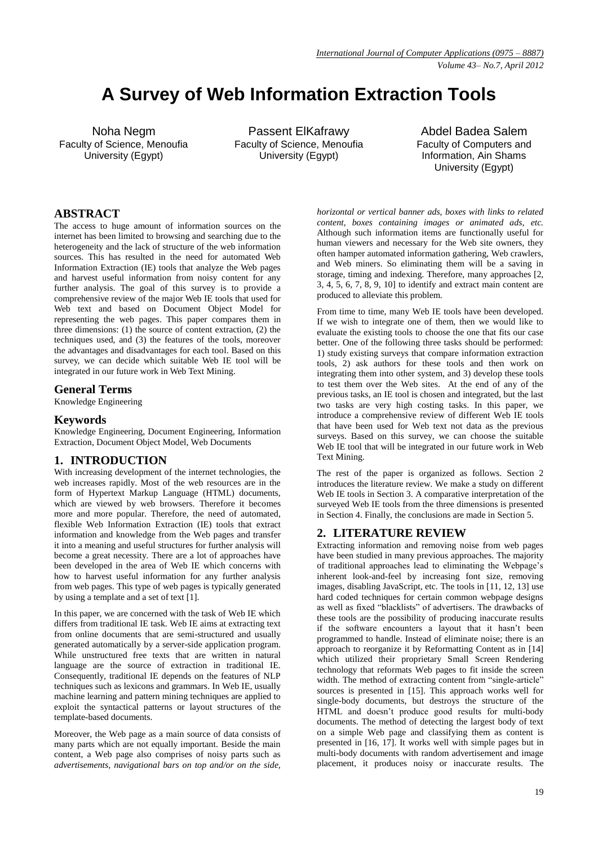# **A Survey of Web Information Extraction Tools**

Noha Negm Faculty of Science, Menoufia University (Egypt)

Passent ElKafrawy Faculty of Science, Menoufia University (Egypt)

Abdel Badea Salem Faculty of Computers and Information, Ain Shams University (Egypt)

# **ABSTRACT**

The access to huge amount of information sources on the internet has been limited to browsing and searching due to the heterogeneity and the lack of structure of the web information sources. This has resulted in the need for automated Web Information Extraction (IE) tools that analyze the Web pages and harvest useful information from noisy content for any further analysis. The goal of this survey is to provide a comprehensive review of the major Web IE tools that used for Web text and based on Document Object Model for representing the web pages. This paper compares them in three dimensions: (1) the source of content extraction, (2) the techniques used, and (3) the features of the tools, moreover the advantages and disadvantages for each tool. Based on this survey, we can decide which suitable Web IE tool will be integrated in our future work in Web Text Mining.

## **General Terms**

Knowledge Engineering

## **Keywords**

Knowledge Engineering, Document Engineering, Information Extraction, Document Object Model, Web Documents

## **1. INTRODUCTION**

With increasing development of the internet technologies, the web increases rapidly. Most of the web resources are in the form of Hypertext Markup Language (HTML) documents, which are viewed by web browsers. Therefore it becomes more and more popular. Therefore, the need of automated, flexible Web Information Extraction (IE) tools that extract information and knowledge from the Web pages and transfer it into a meaning and useful structures for further analysis will become a great necessity. There are a lot of approaches have been developed in the area of Web IE which concerns with how to harvest useful information for any further analysis from web pages. This type of web pages is typically generated by using a template and a set of text [1].

In this paper, we are concerned with the task of Web IE which differs from traditional IE task. Web IE aims at extracting text from online documents that are semi-structured and usually generated automatically by a server-side application program. While unstructured free texts that are written in natural language are the source of extraction in traditional IE. Consequently, traditional IE depends on the features of NLP techniques such as lexicons and grammars. In Web IE, usually machine learning and pattern mining techniques are applied to exploit the syntactical patterns or layout structures of the template-based documents.

Moreover, the Web page as a main source of data consists of many parts which are not equally important. Beside the main content, a Web page also comprises of noisy parts such as *advertisements, navigational bars on top and/or on the side,* 

*horizontal or vertical banner ads, boxes with links to related content, boxes containing images or animated ads, etc.* Although such information items are functionally useful for human viewers and necessary for the Web site owners, they often hamper automated information gathering, Web crawlers, and Web miners. So eliminating them will be a saving in storage, timing and indexing. Therefore, many approaches [2, 3, 4, 5, 6, 7, 8, 9, 10] to identify and extract main content are produced to alleviate this problem.

From time to time, many Web IE tools have been developed. If we wish to integrate one of them, then we would like to evaluate the existing tools to choose the one that fits our case better. One of the following three tasks should be performed: 1) study existing surveys that compare information extraction tools, 2) ask authors for these tools and then work on integrating them into other system, and 3) develop these tools to test them over the Web sites. At the end of any of the previous tasks, an IE tool is chosen and integrated, but the last two tasks are very high costing tasks. In this paper, we introduce a comprehensive review of different Web IE tools that have been used for Web text not data as the previous surveys. Based on this survey, we can choose the suitable Web IE tool that will be integrated in our future work in Web Text Mining.

The rest of the paper is organized as follows. Section 2 introduces the literature review. We make a study on different Web IE tools in Section 3. A comparative interpretation of the surveyed Web IE tools from the three dimensions is presented in Section 4. Finally, the conclusions are made in Section 5.

## **2. LITERATURE REVIEW**

Extracting information and removing noise from web pages have been studied in many previous approaches. The majority of traditional approaches lead to eliminating the Webpage's inherent look-and-feel by increasing font size, removing images, disabling JavaScript, etc. The tools in [11, 12, 13] use hard coded techniques for certain common webpage designs as well as fixed "blacklists" of advertisers. The drawbacks of these tools are the possibility of producing inaccurate results if the software encounters a layout that it hasn't been programmed to handle. Instead of eliminate noise; there is an approach to reorganize it by Reformatting Content as in [14] which utilized their proprietary Small Screen Rendering technology that reformats Web pages to fit inside the screen width. The method of extracting content from "single-article" sources is presented in [15]. This approach works well for single-body documents, but destroys the structure of the HTML and doesn't produce good results for multi-body documents. The method of detecting the largest body of text on a simple Web page and classifying them as content is presented in [16, 17]. It works well with simple pages but in multi-body documents with random advertisement and image placement, it produces noisy or inaccurate results. The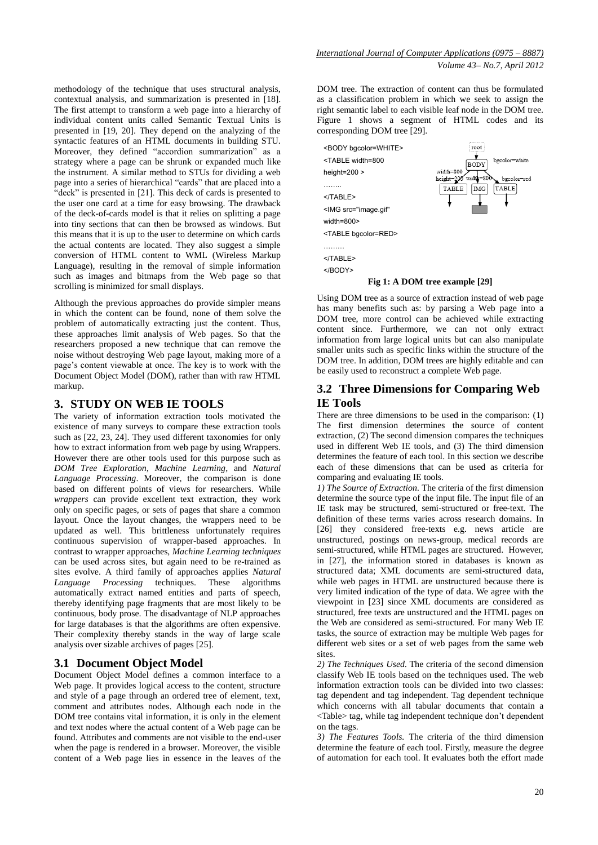methodology of the technique that uses structural analysis, contextual analysis, and summarization is presented in [18]. The first attempt to transform a web page into a hierarchy of individual content units called Semantic Textual Units is presented in [19, 20]. They depend on the analyzing of the syntactic features of an HTML documents in building STU. Moreover, they defined "accordion summarization" as a strategy where a page can be shrunk or expanded much like the instrument. A similar method to STUs for dividing a web page into a series of hierarchical "cards" that are placed into a "deck" is presented in [21]. This deck of cards is presented to the user one card at a time for easy browsing. The drawback of the deck-of-cards model is that it relies on splitting a page into tiny sections that can then be browsed as windows. But this means that it is up to the user to determine on which cards the actual contents are located. They also suggest a simple conversion of HTML content to WML (Wireless Markup Language), resulting in the removal of simple information such as images and bitmaps from the Web page so that scrolling is minimized for small displays.

Although the previous approaches do provide simpler means in which the content can be found, none of them solve the problem of automatically extracting just the content. Thus, these approaches limit analysis of Web pages. So that the researchers proposed a new technique that can remove the noise without destroying Web page layout, making more of a page's content viewable at once. The key is to work with the Document Object Model (DOM), rather than with raw HTML markup.

## **3. STUDY ON WEB IE TOOLS**

The variety of information extraction tools motivated the existence of many surveys to compare these extraction tools such as [22, 23, 24]. They used different taxonomies for only how to extract information from web page by using Wrappers. However there are other tools used for this purpose such as *DOM Tree Exploration*, *Machine Learning*, and *Natural Language Processing*. Moreover, the comparison is done based on different points of views for researchers. While *wrappers* can provide excellent text extraction, they work only on specific pages, or sets of pages that share a common layout. Once the layout changes, the wrappers need to be updated as well. This brittleness unfortunately requires continuous supervision of wrapper-based approaches. In contrast to wrapper approaches, *Machine Learning techniques*  can be used across sites, but again need to be re-trained as sites evolve. A third family of approaches applies *Natural Language Processing* techniques. These algorithms automatically extract named entities and parts of speech, thereby identifying page fragments that are most likely to be continuous, body prose. The disadvantage of NLP approaches for large databases is that the algorithms are often expensive. Their complexity thereby stands in the way of large scale analysis over sizable archives of pages [25].

## **3.1 Document Object Model**

Document Object Model defines a common interface to a Web page. It provides logical access to the content, structure and style of a page through an ordered tree of element, text, comment and attributes nodes. Although each node in the DOM tree contains vital information, it is only in the element and text nodes where the actual content of a Web page can be found. Attributes and comments are not visible to the end-user when the page is rendered in a browser. Moreover, the visible content of a Web page lies in essence in the leaves of the

DOM tree. The extraction of content can thus be formulated as a classification problem in which we seek to assign the right semantic label to each visible leaf node in the DOM tree. Figure 1 shows a segment of HTML codes and its corresponding DOM tree [29].



Using DOM tree as a source of extraction instead of web page has many benefits such as: by parsing a Web page into a DOM tree, more control can be achieved while extracting content since. Furthermore, we can not only extract information from large logical units but can also manipulate smaller units such as specific links within the structure of the DOM tree. In addition, DOM trees are highly editable and can be easily used to reconstruct a complete Web page.

## **3.2 Three Dimensions for Comparing Web IE Tools**

There are three dimensions to be used in the comparison: (1) The first dimension determines the source of content extraction, (2) The second dimension compares the techniques used in different Web IE tools, and (3) The third dimension determines the feature of each tool. In this section we describe each of these dimensions that can be used as criteria for comparing and evaluating IE tools.

*1) The Source of Extraction.* The criteria of the first dimension determine the source type of the input file. The input file of an IE task may be structured, semi-structured or free-text. The definition of these terms varies across research domains. In [26] they considered free-texts e.g. news article are unstructured, postings on news-group, medical records are semi-structured, while HTML pages are structured. However, in [27], the information stored in databases is known as structured data; XML documents are semi-structured data, while web pages in HTML are unstructured because there is very limited indication of the type of data. We agree with the viewpoint in [23] since XML documents are considered as structured, free texts are unstructured and the HTML pages on the Web are considered as semi-structured. For many Web IE tasks, the source of extraction may be multiple Web pages for different web sites or a set of web pages from the same web sites.

*2) The Techniques Used.* The criteria of the second dimension classify Web IE tools based on the techniques used. The web information extraction tools can be divided into two classes: tag dependent and tag independent. Tag dependent technique which concerns with all tabular documents that contain a <Table> tag, while tag independent technique don't dependent on the tags.

*3) The Features Tools.* The criteria of the third dimension determine the feature of each tool. Firstly, measure the degree of automation for each tool. It evaluates both the effort made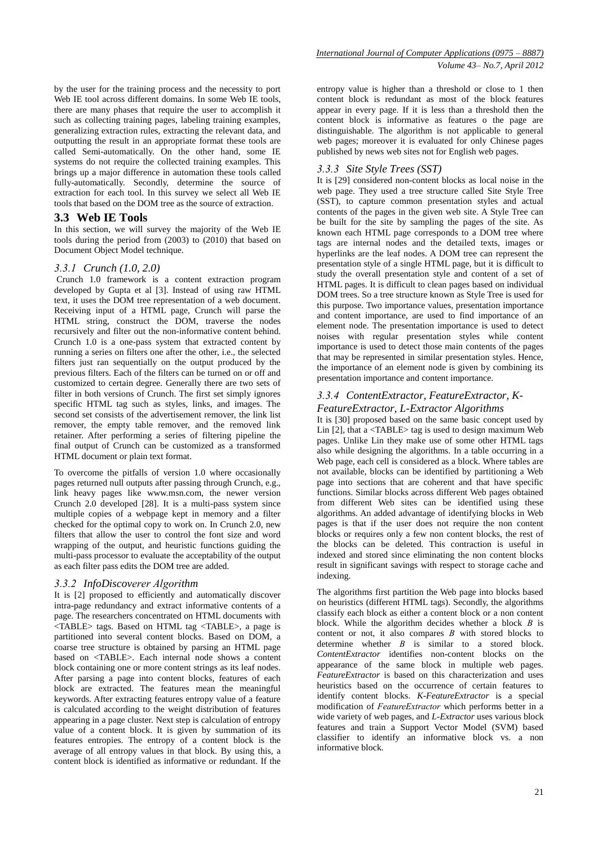by the user for the training process and the necessity to port Web IE tool across different domains. In some Web IE tools, there are many phases that require the user to accomplish it such as collecting training pages, labeling training examples, generalizing extraction rules, extracting the relevant data, and outputting the result in an appropriate format these tools are called Semi-automatically. On the other hand, some IE systems do not require the collected training examples. This brings up a major difference in automation these tools called fully-automatically. Secondly, determine the source of extraction for each tool. In this survey we select all Web IE tools that based on the DOM tree as the source of extraction.

## **3.3 Web IE Tools**

In this section, we will survey the majority of the Web IE tools during the period from (2003) to (2010) that based on Document Object Model technique.

## *3.3.1 Crunch (1.0, 2.0)*

Crunch 1.0 framework is a content extraction program developed by Gupta et al [3]. Instead of using raw HTML text, it uses the DOM tree representation of a web document. Receiving input of a HTML page, Crunch will parse the HTML string, construct the DOM, traverse the nodes recursively and filter out the non-informative content behind. Crunch 1.0 is a one-pass system that extracted content by running a series on filters one after the other, i.e., the selected filters just ran sequentially on the output produced by the previous filters. Each of the filters can be turned on or off and customized to certain degree. Generally there are two sets of filter in both versions of Crunch. The first set simply ignores specific HTML tag such as styles, links, and images. The second set consists of the advertisement remover, the link list remover, the empty table remover, and the removed link retainer. After performing a series of filtering pipeline the final output of Crunch can be customized as a transformed HTML document or plain text format.

To overcome the pitfalls of version 1.0 where occasionally pages returned null outputs after passing through Crunch, e.g., link heavy pages like [www.msn.com,](http://www.msn.com/) the newer version Crunch 2.0 developed [28]. It is a multi-pass system since multiple copies of a webpage kept in memory and a filter checked for the optimal copy to work on. In Crunch 2.0, new filters that allow the user to control the font size and word wrapping of the output, and heuristic functions guiding the multi-pass processor to evaluate the acceptability of the output as each filter pass edits the DOM tree are added.

#### *3.3.2 InfoDiscoverer Algorithm*

It is [2] proposed to efficiently and automatically discover intra-page redundancy and extract informative contents of a page. The researchers concentrated on HTML documents with <TABLE> tags. Based on HTML tag <TABLE>, a page is partitioned into several content blocks. Based on DOM, a coarse tree structure is obtained by parsing an HTML page based on <TABLE>. Each internal node shows a content block containing one or more content strings as its leaf nodes. After parsing a page into content blocks, features of each block are extracted. The features mean the meaningful keywords. After extracting features entropy value of a feature is calculated according to the weight distribution of features appearing in a page cluster. Next step is calculation of entropy value of a content block. It is given by summation of its features entropies. The entropy of a content block is the average of all entropy values in that block. By using this, a content block is identified as informative or redundant. If the

entropy value is higher than a threshold or close to 1 then content block is redundant as most of the block features appear in every page. If it is less than a threshold then the content block is informative as features o the page are distinguishable. The algorithm is not applicable to general web pages; moreover it is evaluated for only Chinese pages published by news web sites not for English web pages.

#### *3.3.3 Site Style Trees (SST)*

It is [29] considered non-content blocks as local noise in the web page. They used a tree structure called Site Style Tree (SST), to capture common presentation styles and actual contents of the pages in the given web site. A Style Tree can be built for the site by sampling the pages of the site. As known each HTML page corresponds to a DOM tree where tags are internal nodes and the detailed texts, images or hyperlinks are the leaf nodes. A DOM tree can represent the presentation style of a single HTML page, but it is difficult to study the overall presentation style and content of a set of HTML pages. It is difficult to clean pages based on individual DOM trees. So a tree structure known as Style Tree is used for this purpose. Two importance values, presentation importance and content importance, are used to find importance of an element node. The presentation importance is used to detect noises with regular presentation styles while content importance is used to detect those main contents of the pages that may be represented in similar presentation styles. Hence, the importance of an element node is given by combining its presentation importance and content importance.

#### *3.3.4 ContentExtractor, FeatureExtractor, K-FeatureExtractor, L-Extractor Algorithms*

It is [30] proposed based on the same basic concept used by Lin [2], that a <TABLE> tag is used to design maximum Web pages. Unlike Lin they make use of some other HTML tags also while designing the algorithms. In a table occurring in a Web page, each cell is considered as a block. Where tables are not available, blocks can be identified by partitioning a Web page into sections that are coherent and that have specific functions. Similar blocks across different Web pages obtained from different Web sites can be identified using these algorithms. An added advantage of identifying blocks in Web pages is that if the user does not require the non content blocks or requires only a few non content blocks, the rest of the blocks can be deleted. This contraction is useful in indexed and stored since eliminating the non content blocks result in significant savings with respect to storage cache and indexing.

The algorithms first partition the Web page into blocks based on heuristics (different HTML tags). Secondly, the algorithms classify each block as either a content block or a non content block. While the algorithm decides whether a block *B* is content or not, it also compares *B* with stored blocks to determine whether *B* is similar to a stored block. *ContentExtractor* identifies non-content blocks on the appearance of the same block in multiple web pages. *FeatureExtractor* is based on this characterization and uses heuristics based on the occurrence of certain features to identify content blocks. *K-FeatureExtractor* is a special modification of *FeatureExtractor* which performs better in a wide variety of web pages, and *L-Extractor* uses various block features and train a Support Vector Model (SVM) based classifier to identify an informative block vs. a non informative block.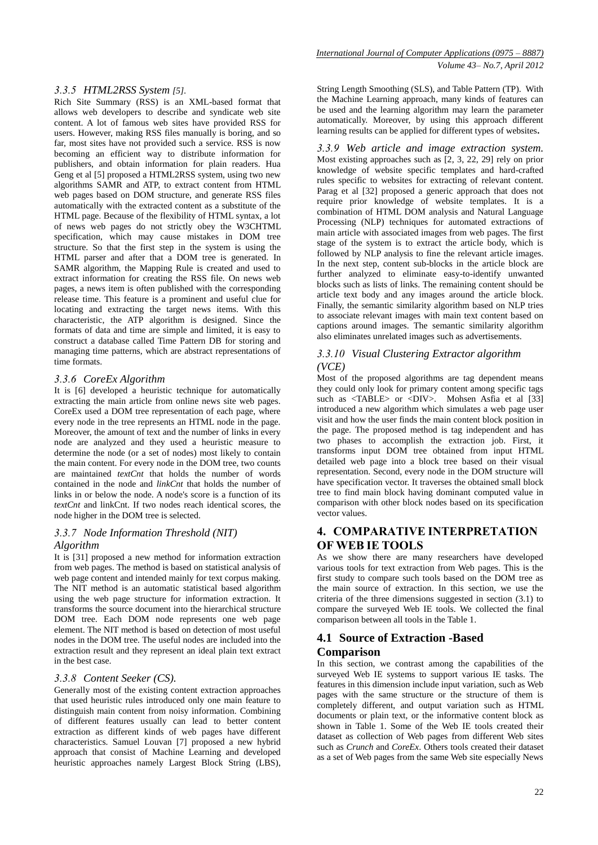#### *3.3.5 HTML2RSS System [5].*

Rich Site Summary (RSS) is an XML-based format that allows web developers to describe and syndicate web site content. A lot of famous web sites have provided RSS for users. However, making RSS files manually is boring, and so far, most sites have not provided such a service. RSS is now becoming an efficient way to distribute information for publishers, and obtain information for plain readers. Hua Geng et al [5] proposed a HTML2RSS system, using two new algorithms SAMR and ATP, to extract content from HTML web pages based on DOM structure, and generate RSS files automatically with the extracted content as a substitute of the HTML page. Because of the flexibility of HTML syntax, a lot of news web pages do not strictly obey the W3CHTML specification, which may cause mistakes in DOM tree structure. So that the first step in the system is using the HTML parser and after that a DOM tree is generated. In SAMR algorithm, the Mapping Rule is created and used to extract information for creating the RSS file. On news web pages, a news item is often published with the corresponding release time. This feature is a prominent and useful clue for locating and extracting the target news items. With this characteristic, the ATP algorithm is designed. Since the formats of data and time are simple and limited, it is easy to construct a database called Time Pattern DB for storing and managing time patterns, which are abstract representations of time formats.

## *3.3.6 CoreEx Algorithm*

It is [6] developed a heuristic technique for automatically extracting the main article from online news site web pages. CoreEx used a DOM tree representation of each page, where every node in the tree represents an HTML node in the page. Moreover, the amount of text and the number of links in every node are analyzed and they used a heuristic measure to determine the node (or a set of nodes) most likely to contain the main content. For every node in the DOM tree, two counts are maintained *textCnt* that holds the number of words contained in the node and *linkCnt* that holds the number of links in or below the node. A node's score is a function of its *textCnt* and linkCnt. If two nodes reach identical scores, the node higher in the DOM tree is selected.

## *3.3.7 Node Information Threshold (NIT) Algorithm*

It is [31] proposed a new method for information extraction from web pages. The method is based on statistical analysis of web page content and intended mainly for text corpus making. The NIT method is an automatic statistical based algorithm using the web page structure for information extraction. It transforms the source document into the hierarchical structure DOM tree. Each DOM node represents one web page element. The NIT method is based on detection of most useful nodes in the DOM tree. The useful nodes are included into the extraction result and they represent an ideal plain text extract in the best case.

## *3.3.8 Content Seeker (CS).*

Generally most of the existing content extraction approaches that used heuristic rules introduced only one main feature to distinguish main content from noisy information. Combining of different features usually can lead to better content extraction as different kinds of web pages have different characteristics. Samuel Louvan [7] proposed a new hybrid approach that consist of Machine Learning and developed heuristic approaches namely Largest Block String (LBS),

String Length Smoothing (SLS), and Table Pattern (TP). With the Machine Learning approach, many kinds of features can be used and the learning algorithm may learn the parameter automatically. Moreover, by using this approach different learning results can be applied for different types of websites**.** 

*3.3.9 Web article and image extraction system.*  Most existing approaches such as [2, 3, 22, 29] rely on prior knowledge of website specific templates and hard-crafted rules specific to websites for extracting of relevant content. Parag et al [32] proposed a generic approach that does not require prior knowledge of website templates. It is a combination of HTML DOM analysis and Natural Language Processing (NLP) techniques for automated extractions of main article with associated images from web pages. The first stage of the system is to extract the article body, which is followed by NLP analysis to fine the relevant article images. In the next step, content sub-blocks in the article block are further analyzed to eliminate easy-to-identify unwanted blocks such as lists of links. The remaining content should be article text body and any images around the article block. Finally, the semantic similarity algorithm based on NLP tries to associate relevant images with main text content based on captions around images. The semantic similarity algorithm also eliminates unrelated images such as advertisements.

## *3.3.10 Visual Clustering Extractor algorithm (VCE)*

Most of the proposed algorithms are tag dependent means they could only look for primary content among specific tags such as <TABLE> or <DIV>. Mohsen Asfia et al [33] introduced a new algorithm which simulates a web page user visit and how the user finds the main content block position in the page. The proposed method is tag independent and has two phases to accomplish the extraction job. First, it transforms input DOM tree obtained from input HTML detailed web page into a block tree based on their visual representation. Second, every node in the DOM structure will have specification vector. It traverses the obtained small block tree to find main block having dominant computed value in comparison with other block nodes based on its specification vector values.

# **4. COMPARATIVE INTERPRETATION OF WEB IE TOOLS**

As we show there are many researchers have developed various tools for text extraction from Web pages. This is the first study to compare such tools based on the DOM tree as the main source of extraction. In this section, we use the criteria of the three dimensions suggested in section (3.1) to compare the surveyed Web IE tools. We collected the final comparison between all tools in the Table 1.

# **4.1 Source of Extraction -Based Comparison**

In this section, we contrast among the capabilities of the surveyed Web IE systems to support various IE tasks. The features in this dimension include input variation, such as Web pages with the same structure or the structure of them is completely different, and output variation such as HTML documents or plain text, or the informative content block as shown in Table 1. Some of the Web IE tools created their dataset as collection of Web pages from different Web sites such as *Crunch* and *CoreEx*. Others tools created their dataset as a set of Web pages from the same Web site especially News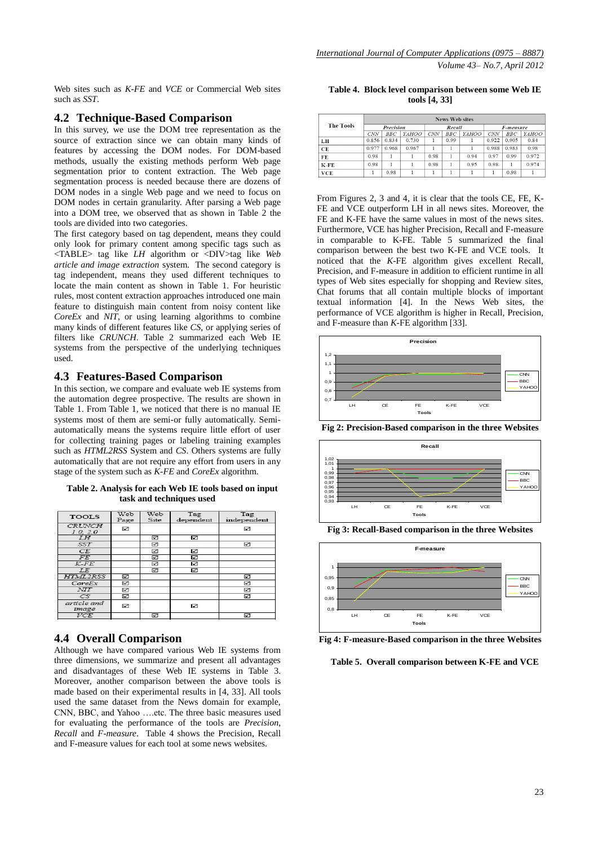Web sites such as *K-FE* and *VCE* or Commercial Web sites such as *SST*.

## **4.2 Technique-Based Comparison**

In this survey, we use the DOM tree representation as the source of extraction since we can obtain many kinds of features by accessing the DOM nodes. For DOM-based methods, usually the existing methods perform Web page segmentation prior to content extraction. The Web page segmentation process is needed because there are dozens of DOM nodes in a single Web page and we need to focus on DOM nodes in certain granularity. After parsing a Web page into a DOM tree, we observed that as shown in Table 2 the tools are divided into two categories.

The first category based on tag dependent, means they could only look for primary content among specific tags such as <TABLE> tag like *LH* algorithm or <DIV>tag like *Web article and image extraction* system. The second category is tag independent, means they used different techniques to locate the main content as shown in Table 1. For heuristic rules, most content extraction approaches introduced one main feature to distinguish main content from noisy content like *CoreEx* and *NIT*, or using learning algorithms to combine many kinds of different features like *CS*, or applying series of filters like *CRUNCH*. Table 2 summarized each Web IE systems from the perspective of the underlying techniques used.

## **4.3 Features-Based Comparison**

In this section, we compare and evaluate web IE systems from the automation degree prospective. The results are shown in Table 1. From Table 1, we noticed that there is no manual IE systems most of them are semi-or fully automatically. Semiautomatically means the systems require little effort of user for collecting training pages or labeling training examples such as *HTML2RSS* System and *CS*. Others systems are fully automatically that are not require any effort from users in any stage of the system such as *K-FE* and *CoreEx* algorithm.

**Table 2. Analysis for each Web IE tools based on input task and techniques used**

| <b>TOOLS</b>              | Web<br>Page | Web<br>Site | Tag<br>dependent | Tag<br>independent |
|---------------------------|-------------|-------------|------------------|--------------------|
| <b>CRUNCH</b><br>1.0, 2.0 | ⊠           |             |                  | N                  |
| LΗ                        |             | ☑           | ☑                |                    |
| SST <sub>1</sub>          |             | ⊠           |                  | ⊻                  |
| CE                        |             | ⊠           | ☑                |                    |
| FE.                       |             | ☑           | ☑                |                    |
| $K$ - $FE$                |             | ☑           | ☑                |                    |
| LE.                       |             | ☑           | 罓                |                    |
| <b>HTML2RSS</b>           | ⊠           |             |                  | ☑                  |
| CoreEx                    | ☑           |             |                  | ☑                  |
| NTT                       | ⊠           |             |                  | ☑                  |
| CS                        | ☑           |             |                  | ☑                  |
| article and<br>image      | ☑           |             | ☑                |                    |
| $\overline{VCE}$          |             | ☑           |                  | ☑                  |
|                           |             |             |                  |                    |

## **4.4 Overall Comparison**

Although we have compared various Web IE systems from three dimensions, we summarize and present all advantages and disadvantages of these Web IE systems in Table 3. Moreover, another comparison between the above tools is made based on their experimental results in [4, 33]. All tools used the same dataset from the News domain for example, CNN, BBC, and Yahoo ….etc. The three basic measures used for evaluating the performance of the tools are *Precision*, *Recall* and *F-measure*. Table 4 shows the Precision, Recall and F-measure values for each tool at some news websites.

**Table 4. Block level comparison between some Web IE tools [4, 33]**

|                  | <b>News Web sites</b> |       |       |        |            |       |           |            |       |
|------------------|-----------------------|-------|-------|--------|------------|-------|-----------|------------|-------|
| <b>The Tools</b> | Precision             |       |       | Recall |            |       | F-measure |            |       |
|                  | <b>CNN</b>            | BBC   | YAHOO | CNN    | <b>BBC</b> | YAHOO | CNN       | <b>BBC</b> | YAHOO |
| LH               | 0.856                 | 0.834 | 0.730 |        | 0.99       |       | 0.922     | 0.905      | 0.84  |
| CE               | 0.977                 | 0.968 | 0.967 |        |            |       | 0.988     | 0.983      | 0.98  |
| FE               | 0.98                  |       |       | 0.98   |            | 0.94  | 0.97      | 0.99       | 0.972 |
| $K$ -FE          | 0.98                  |       |       | 0.98   |            | 0.95  | 0.98      |            | 0.974 |
| <b>VCE</b>       |                       | 0.98  |       |        |            |       |           | 0.98       |       |

From Figures 2, 3 and 4, it is clear that the tools CE, FE, K-FE and VCE outperform LH in all news sites. Moreover, the FE and K-FE have the same values in most of the news sites. Furthermore, VCE has higher Precision, Recall and F-measure in comparable to K-FE. Table 5 summarized the final comparison between the best two K-FE and VCE tools. It noticed that the *K*-FE algorithm gives excellent Recall, Precision, and F-measure in addition to efficient runtime in all types of Web sites especially for shopping and Review sites, Chat forums that all contain multiple blocks of important textual information [4]. In the News Web sites, the performance of VCE algorithm is higher in Recall, Precision, and F-measure than *K*-FE algorithm [33].



**Fig 2: Precision-Based comparison in the three Websites**



**Fig 3: Recall-Based comparison in the three Websites**



**Fig 4: F-measure-Based comparison in the three Websites**

**Table 5. Overall comparison between K-FE and VCE**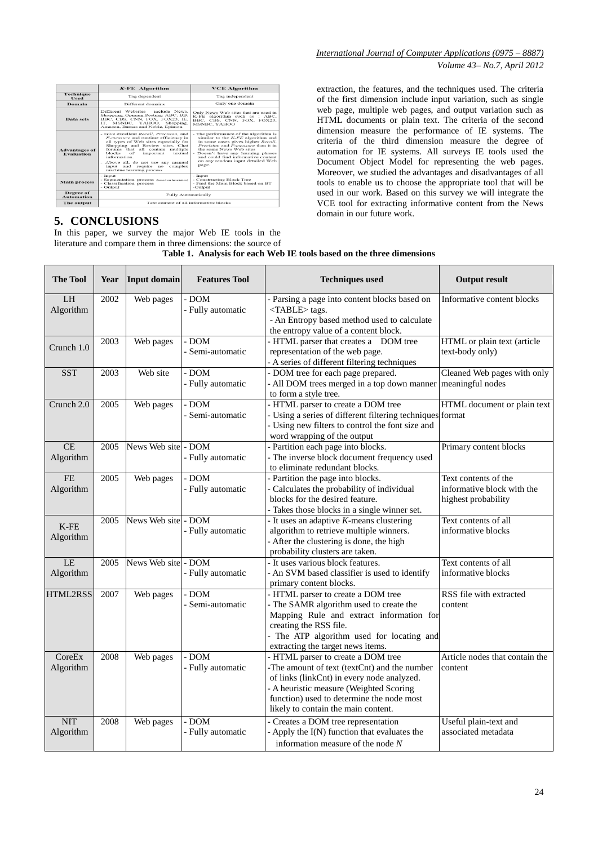|                                           | K-FE Algorithm                                                                                                                                                                                                                                                                                                                                              | <b>VCE Algorithm</b>                                                                                                                                                                                                                                                                                             |  |  |
|-------------------------------------------|-------------------------------------------------------------------------------------------------------------------------------------------------------------------------------------------------------------------------------------------------------------------------------------------------------------------------------------------------------------|------------------------------------------------------------------------------------------------------------------------------------------------------------------------------------------------------------------------------------------------------------------------------------------------------------------|--|--|
| Technique<br><b>Tised</b>                 | Tag dependent                                                                                                                                                                                                                                                                                                                                               | Tag independent                                                                                                                                                                                                                                                                                                  |  |  |
| Domain                                    | Different domains                                                                                                                                                                                                                                                                                                                                           | Only one domain                                                                                                                                                                                                                                                                                                  |  |  |
| Data sets                                 | Different Websites<br>include News.<br>Shopping, Opining Posting: ABC, BB,<br>BBC, CBS, CNN, FOX, FOX23, IE,<br>IT. MSNBC, YAHOO, Shopping,<br>Amazon, Barnes and Noble, Epinion                                                                                                                                                                            | Only News Web sites that are used in<br>K-FE algorithm such as : ABC,<br>BBC, CBS, CNN, FOX, FOX23,<br>MSNRC, YAHOO                                                                                                                                                                                              |  |  |
| <b>Advantages of</b><br><b>Evaluation</b> | - Give excellent Recall, Precision, and<br>F-measure and runtime efficiency in<br>all types of Web sites especially for<br>Shopping and Review sites. Chat<br>forums that all contain multiple<br>blocks<br>of<br>important<br>textual<br>information.<br>- Above all, do not use any manual<br>input and require no<br>complex<br>machine learning process | - The performance of the algorithm is<br>similar to the $K$ - $FE$ algorithm and<br>in some cases gives higher Recall,<br>Precision and F-measure than it in<br>the some News Web sites<br>- Doesn't have any learning phases<br>and could find informative content<br>on any random input detailed Web<br>page. |  |  |
| <b>Main process</b>                       | - Input<br>- Segmentation process (based on heuristics)<br>- Classification process<br>- Output                                                                                                                                                                                                                                                             | - Input<br>- Constructing Block Tree<br>- Find the Main Block based on BT<br>-Output                                                                                                                                                                                                                             |  |  |
| Degree of<br><b>Automation</b>            | <b>Fully Automatically</b>                                                                                                                                                                                                                                                                                                                                  |                                                                                                                                                                                                                                                                                                                  |  |  |
| The output                                | Text content of all informative blocks                                                                                                                                                                                                                                                                                                                      |                                                                                                                                                                                                                                                                                                                  |  |  |

# **5. CONCLUSIONS**

In this paper, we survey the major Web IE tools in the literature and compare them in three dimensions: the source of extraction, the features, and the techniques used. The criteria of the first dimension include input variation, such as single web page, multiple web pages, and output variation such as HTML documents or plain text. The criteria of the second dimension measure the performance of IE systems. The criteria of the third dimension measure the degree of automation for IE systems. All surveys IE tools used the Document Object Model for representing the web pages. Moreover, we studied the advantages and disadvantages of all tools to enable us to choose the appropriate tool that will be used in our work. Based on this survey we will integrate the VCE tool for extracting informative content from the News domain in our future work.

| <b>The Tool</b>         | Year | Input domain  | <b>Features Tool</b>         | <b>Techniques used</b>                                                                                                                                                                                                                                          | <b>Output result</b>                                                      |
|-------------------------|------|---------------|------------------------------|-----------------------------------------------------------------------------------------------------------------------------------------------------------------------------------------------------------------------------------------------------------------|---------------------------------------------------------------------------|
| LH<br>Algorithm         | 2002 | Web pages     | - DOM<br>- Fully automatic   | - Parsing a page into content blocks based on<br><table> tags.<br/>- An Entropy based method used to calculate<br/>the entropy value of a content block.</table>                                                                                                | Informative content blocks                                                |
| Crunch 1.0              | 2003 | Web pages     | - DOM<br>- Semi-automatic    | - HTML parser that creates a  DOM tree<br>representation of the web page.<br>- A series of different filtering techniques                                                                                                                                       | HTML or plain text (article<br>text-body only)                            |
| <b>SST</b>              | 2003 | Web site      | - DOM<br>- Fully automatic   | - DOM tree for each page prepared.<br>- All DOM trees merged in a top down manner<br>to form a style tree.                                                                                                                                                      | Cleaned Web pages with only<br>meaningful nodes                           |
| Crunch 2.0              | 2005 | Web pages     | - DOM<br>Semi-automatic      | - HTML parser to create a DOM tree<br>- Using a series of different filtering techniques format<br>- Using new filters to control the font size and<br>word wrapping of the output                                                                              | HTML document or plain text                                               |
| CE<br>Algorithm         | 2005 | News Web site | - DOM<br>- Fully automatic   | - Partition each page into blocks.<br>- The inverse block document frequency used<br>to eliminate redundant blocks.                                                                                                                                             | Primary content blocks                                                    |
| <b>FE</b><br>Algorithm  | 2005 | Web pages     | $-$ DOM<br>- Fully automatic | - Partition the page into blocks.<br>- Calculates the probability of individual<br>blocks for the desired feature.<br>- Takes those blocks in a single winner set.                                                                                              | Text contents of the<br>informative block with the<br>highest probability |
| $K$ -FE<br>Algorithm    | 2005 | News Web site | - DOM<br>- Fully automatic   | - It uses an adaptive $K$ -means clustering<br>algorithm to retrieve multiple winners.<br>- After the clustering is done, the high<br>probability clusters are taken.                                                                                           | Text contents of all<br>informative blocks                                |
| LE<br>Algorithm         | 2005 | News Web site | - DOM<br>- Fully automatic   | - It uses various block features.<br>- An SVM based classifier is used to identify<br>primary content blocks.                                                                                                                                                   | Text contents of all<br>informative blocks                                |
| HTML2RSS                | 2007 | Web pages     | $-$ DOM<br>- Semi-automatic  | - HTML parser to create a DOM tree<br>- The SAMR algorithm used to create the<br>Mapping Rule and extract information for<br>creating the RSS file.<br>- The ATP algorithm used for locating and<br>extracting the target news items.                           | RSS file with extracted<br>content                                        |
| CoreEx<br>Algorithm     | 2008 | Web pages     | - DOM<br>- Fully automatic   | - HTML parser to create a DOM tree<br>-The amount of text (textCnt) and the number<br>of links (linkCnt) in every node analyzed.<br>- A heuristic measure (Weighted Scoring<br>function) used to determine the node most<br>likely to contain the main content. | Article nodes that contain the<br>content                                 |
| <b>NIT</b><br>Algorithm | 2008 | Web pages     | - DOM<br>- Fully automatic   | - Creates a DOM tree representation<br>- Apply the I(N) function that evaluates the<br>information measure of the node $N$                                                                                                                                      | Useful plain-text and<br>associated metadata                              |

#### **Table 1. Analysis for each Web IE tools based on the three dimensions**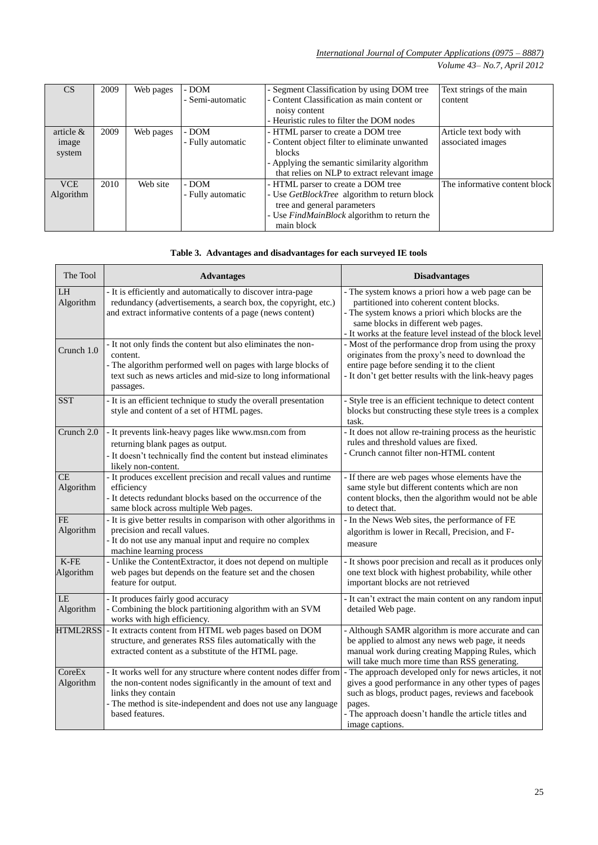*International Journal of Computer Applications (0975 – 8887) Volume 43– No.7, April 2012*

| CS           | 2009 | Web pages | - DOM             | - Segment Classification by using DOM tree    | Text strings of the main      |
|--------------|------|-----------|-------------------|-----------------------------------------------|-------------------------------|
|              |      |           | - Semi-automatic  | - Content Classification as main content or   | content                       |
|              |      |           |                   | noisy content                                 |                               |
|              |      |           |                   | - Heuristic rules to filter the DOM nodes     |                               |
| article $\&$ | 2009 | Web pages | - DOM             | - HTML parser to create a DOM tree            | Article text body with        |
| image        |      |           | - Fully automatic | - Content object filter to eliminate unwanted | associated images             |
| system       |      |           |                   | <b>blocks</b>                                 |                               |
|              |      |           |                   | - Applying the semantic similarity algorithm  |                               |
|              |      |           |                   | that relies on NLP to extract relevant image  |                               |
| <b>VCE</b>   | 2010 | Web site  | - DOM             | - HTML parser to create a DOM tree            | The informative content block |
| Algorithm    |      |           | - Fully automatic | - Use GetBlockTree algorithm to return block  |                               |
|              |      |           |                   | tree and general parameters                   |                               |
|              |      |           |                   | - Use FindMainBlock algorithm to return the   |                               |
|              |      |           |                   | main block                                    |                               |

## **Table 3. Advantages and disadvantages for each surveyed IE tools**

| The Tool               | <b>Advantages</b>                                                                                                                                                                                                                             | <b>Disadvantages</b>                                                                                                                                                                                                                                       |
|------------------------|-----------------------------------------------------------------------------------------------------------------------------------------------------------------------------------------------------------------------------------------------|------------------------------------------------------------------------------------------------------------------------------------------------------------------------------------------------------------------------------------------------------------|
| LH<br>Algorithm        | - It is efficiently and automatically to discover intra-page<br>redundancy (advertisements, a search box, the copyright, etc.)<br>and extract informative contents of a page (news content)                                                   | - The system knows a priori how a web page can be<br>partitioned into coherent content blocks.<br>- The system knows a priori which blocks are the<br>same blocks in different web pages.<br>- It works at the feature level instead of the block level    |
| Crunch 1.0             | - It not only finds the content but also eliminates the non-<br>content.<br>- The algorithm performed well on pages with large blocks of<br>text such as news articles and mid-size to long informational<br>passages.                        | - Most of the performance drop from using the proxy<br>originates from the proxy's need to download the<br>entire page before sending it to the client<br>- It don't get better results with the link-heavy pages                                          |
| SST                    | - It is an efficient technique to study the overall presentation<br>style and content of a set of HTML pages.                                                                                                                                 | - Style tree is an efficient technique to detect content<br>blocks but constructing these style trees is a complex<br>task.                                                                                                                                |
| Crunch 2.0             | - It prevents link-heavy pages like www.msn.com from<br>returning blank pages as output.<br>- It doesn't technically find the content but instead eliminates<br>likely non-content.                                                           | - It does not allow re-training process as the heuristic<br>rules and threshold values are fixed.<br>- Crunch cannot filter non-HTML content                                                                                                               |
| <b>CE</b><br>Algorithm | - It produces excellent precision and recall values and runtime<br>efficiency<br>- It detects redundant blocks based on the occurrence of the<br>same block across multiple Web pages.                                                        | - If there are web pages whose elements have the<br>same style but different contents which are non<br>content blocks, then the algorithm would not be able<br>to detect that.                                                                             |
| <b>FE</b><br>Algorithm | - It is give better results in comparison with other algorithms in<br>precision and recall values.<br>- It do not use any manual input and require no complex<br>machine learning process                                                     | - In the News Web sites, the performance of FE<br>algorithm is lower in Recall, Precision, and F-<br>measure                                                                                                                                               |
| $K$ -FE<br>Algorithm   | - Unlike the ContentExtractor, it does not depend on multiple<br>web pages but depends on the feature set and the chosen<br>feature for output.                                                                                               | - It shows poor precision and recall as it produces only<br>one text block with highest probability, while other<br>important blocks are not retrieved                                                                                                     |
| LE<br>Algorithm        | - It produces fairly good accuracy<br>- Combining the block partitioning algorithm with an SVM<br>works with high efficiency.                                                                                                                 | - It can't extract the main content on any random input<br>detailed Web page.                                                                                                                                                                              |
| HTML2RSS               | - It extracts content from HTML web pages based on DOM<br>structure, and generates RSS files automatically with the<br>extracted content as a substitute of the HTML page.                                                                    | - Although SAMR algorithm is more accurate and can<br>be applied to almost any news web page, it needs<br>manual work during creating Mapping Rules, which<br>will take much more time than RSS generating.                                                |
| CoreEx<br>Algorithm    | - It works well for any structure where content nodes differ from<br>the non-content nodes significantly in the amount of text and<br>links they contain<br>- The method is site-independent and does not use any language<br>based features. | - The approach developed only for news articles, it not<br>gives a good performance in any other types of pages<br>such as blogs, product pages, reviews and facebook<br>pages.<br>- The approach doesn't handle the article titles and<br>image captions. |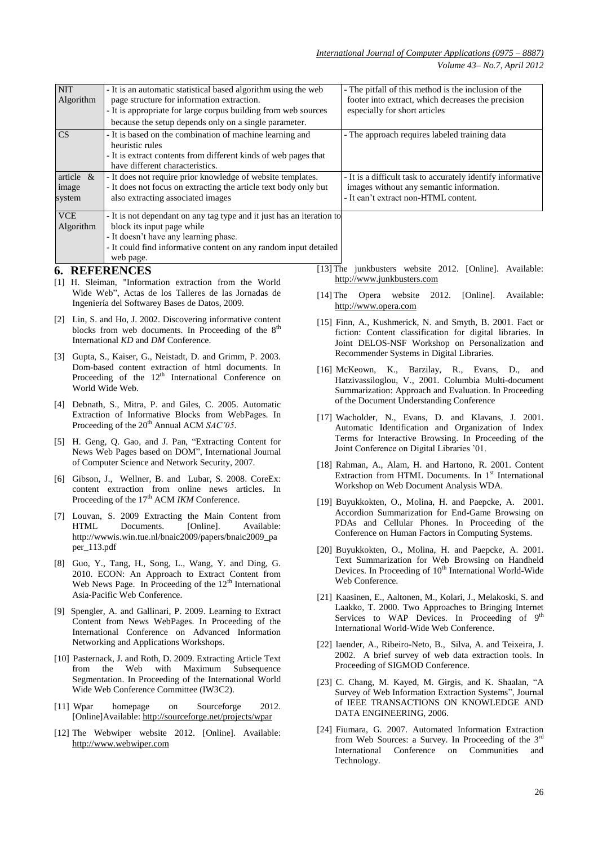| <b>NIT</b>                                                                        | Algorithm                                                                                                   | - It is an automatic statistical based algorithm using the web<br>page structure for information extraction.<br>- It is appropriate for large corpus building from web sources  |  | - The pitfall of this method is the inclusion of the<br>footer into extract, which decreases the precision<br>especially for short articles                                                           |  |  |
|-----------------------------------------------------------------------------------|-------------------------------------------------------------------------------------------------------------|---------------------------------------------------------------------------------------------------------------------------------------------------------------------------------|--|-------------------------------------------------------------------------------------------------------------------------------------------------------------------------------------------------------|--|--|
|                                                                                   |                                                                                                             | because the setup depends only on a single parameter.                                                                                                                           |  |                                                                                                                                                                                                       |  |  |
| CS<br>- It is based on the combination of machine learning and<br>heuristic rules |                                                                                                             |                                                                                                                                                                                 |  | - The approach requires labeled training data                                                                                                                                                         |  |  |
|                                                                                   |                                                                                                             | - It is extract contents from different kinds of web pages that<br>have different characteristics.                                                                              |  |                                                                                                                                                                                                       |  |  |
|                                                                                   | article $\&$                                                                                                | - It does not require prior knowledge of website templates.                                                                                                                     |  | - It is a difficult task to accurately identify informative                                                                                                                                           |  |  |
| image<br>system                                                                   |                                                                                                             | - It does not focus on extracting the article text body only but<br>also extracting associated images                                                                           |  | images without any semantic information.<br>- It can't extract non-HTML content.                                                                                                                      |  |  |
| <b>VCE</b>                                                                        |                                                                                                             | - It is not dependant on any tag type and it just has an iteration to                                                                                                           |  |                                                                                                                                                                                                       |  |  |
|                                                                                   | Algorithm                                                                                                   | block its input page while<br>- It doesn't have any learning phase.<br>- It could find informative content on any random input detailed                                         |  |                                                                                                                                                                                                       |  |  |
|                                                                                   |                                                                                                             | web page.<br><b>6. REFERENCES</b>                                                                                                                                               |  | [13] The junkbusters website 2012. [Online]. Available:                                                                                                                                               |  |  |
|                                                                                   |                                                                                                             | [1] H. Sleiman, "Information extraction from the World                                                                                                                          |  | http://www.junkbusters.com                                                                                                                                                                            |  |  |
|                                                                                   |                                                                                                             | Wide Web", Actas de los Talleres de las Jornadas de<br>Ingeniería del Softwarey Bases de Datos, 2009.                                                                           |  | $[14]$ The<br>Opera website<br>2012.<br>[Online].<br>Available:<br>http://www.opera.com                                                                                                               |  |  |
|                                                                                   |                                                                                                             | [2] Lin, S. and Ho, J. 2002. Discovering informative content                                                                                                                    |  | [15] Finn, A., Kushmerick, N. and Smyth, B. 2001. Fact or                                                                                                                                             |  |  |
|                                                                                   |                                                                                                             | blocks from web documents. In Proceeding of the 8 <sup>th</sup><br>International KD and DM Conference.                                                                          |  | fiction: Content classification for digital libraries. In                                                                                                                                             |  |  |
|                                                                                   |                                                                                                             |                                                                                                                                                                                 |  | Joint DELOS-NSF Workshop on Personalization and<br>Recommender Systems in Digital Libraries.                                                                                                          |  |  |
|                                                                                   |                                                                                                             | [3] Gupta, S., Kaiser, G., Neistadt, D. and Grimm, P. 2003.<br>Dom-based content extraction of html documents. In                                                               |  | [16] McKeown, K., Barzilay, R., Evans, D.,<br>and                                                                                                                                                     |  |  |
|                                                                                   |                                                                                                             | Proceeding of the $12th$ International Conference on<br>World Wide Web.                                                                                                         |  | Hatzivassiloglou, V., 2001. Columbia Multi-document<br>Summarization: Approach and Evaluation. In Proceeding                                                                                          |  |  |
|                                                                                   |                                                                                                             | [4] Debnath, S., Mitra, P. and Giles, C. 2005. Automatic                                                                                                                        |  | of the Document Understanding Conference                                                                                                                                                              |  |  |
|                                                                                   | Extraction of Informative Blocks from WebPages. In<br>Proceeding of the 20 <sup>th</sup> Annual ACM SAC'05. |                                                                                                                                                                                 |  | [17] Wacholder, N., Evans, D. and Klavans, J. 2001.<br>Automatic Identification and Organization of Index                                                                                             |  |  |
|                                                                                   |                                                                                                             | [5] H. Geng, Q. Gao, and J. Pan, "Extracting Content for<br>News Web Pages based on DOM", International Journal                                                                 |  | Terms for Interactive Browsing. In Proceeding of the<br>Joint Conference on Digital Libraries '01.                                                                                                    |  |  |
|                                                                                   |                                                                                                             | of Computer Science and Network Security, 2007.                                                                                                                                 |  | [18] Rahman, A., Alam, H. and Hartono, R. 2001. Content                                                                                                                                               |  |  |
| [6]                                                                               |                                                                                                             | Gibson, J., Wellner, B. and Lubar, S. 2008. CoreEx:<br>content extraction from online news articles. In                                                                         |  | Extraction from HTML Documents. In 1 <sup>st</sup> International<br>Workshop on Web Document Analysis WDA.                                                                                            |  |  |
|                                                                                   |                                                                                                             | Proceeding of the 17 <sup>th</sup> ACM IKM Conference.                                                                                                                          |  | [19] Buyukkokten, O., Molina, H. and Paepcke, A. 2001.                                                                                                                                                |  |  |
|                                                                                   |                                                                                                             | [7] Louvan, S. 2009 Extracting the Main Content from<br>HTML Documents. [Online]. Available:<br>http://wwwis.win.tue.nl/bnaic2009/papers/bnaic2009_pa                           |  | Accordion Summarization for End-Game Browsing on<br>PDAs and Cellular Phones. In Proceeding of the<br>Conference on Human Factors in Computing Systems.                                               |  |  |
|                                                                                   | $per_113.pdf$                                                                                               |                                                                                                                                                                                 |  | [20] Buyukkokten, O., Molina, H. and Paepcke, A. 2001.                                                                                                                                                |  |  |
|                                                                                   |                                                                                                             | [8] Guo, Y., Tang, H., Song, L., Wang, Y. and Ding, G.<br>2010. ECON: An Approach to Extract Content from<br>Web News Page. In Proceeding of the 12 <sup>th</sup> International |  | Text Summarization for Web Browsing on Handheld<br>Devices. In Proceeding of 10 <sup>th</sup> International World-Wide<br>Web Conference.                                                             |  |  |
|                                                                                   |                                                                                                             | Asia-Pacific Web Conference.                                                                                                                                                    |  | [21] Kaasinen, E., Aaltonen, M., Kolari, J., Melakoski, S. and                                                                                                                                        |  |  |
|                                                                                   |                                                                                                             | [9] Spengler, A. and Gallinari, P. 2009. Learning to Extract<br>Content from News WebPages. In Proceeding of the<br>International Conference on Advanced Information            |  | Laakko, T. 2000. Two Approaches to Bringing Internet<br>Services to WAP Devices. In Proceeding of 9 <sup>th</sup><br>International World-Wide Web Conference.                                         |  |  |
|                                                                                   |                                                                                                             | Networking and Applications Workshops.                                                                                                                                          |  | [22] laender, A., Ribeiro-Neto, B., Silva, A. and Teixeira, J.                                                                                                                                        |  |  |
|                                                                                   | from                                                                                                        | [10] Pasternack, J. and Roth, D. 2009. Extracting Article Text<br>with Maximum Subsequence<br>the<br>Web                                                                        |  | 2002. A brief survey of web data extraction tools. In<br>Proceeding of SIGMOD Conference.                                                                                                             |  |  |
|                                                                                   |                                                                                                             | Segmentation. In Proceeding of the International World<br>Wide Web Conference Committee (IW3C2).                                                                                |  | [23] C. Chang, M. Kayed, M. Girgis, and K. Shaalan, "A<br>Survey of Web Information Extraction Systems", Journal                                                                                      |  |  |
|                                                                                   | $[11]$ Wpar                                                                                                 | 2012.<br>homepage<br>Sourceforge<br>on<br>[Online]Available: http://sourceforge.net/projects/wpar                                                                               |  | of IEEE TRANSACTIONS ON KNOWLEDGE AND<br>DATA ENGINEERING, 2006.                                                                                                                                      |  |  |
|                                                                                   |                                                                                                             | [12] The Webwiper website 2012. [Online]. Available:<br>http://www.webwiper.com                                                                                                 |  | [24] Fiumara, G. 2007. Automated Information Extraction<br>from Web Sources: a Survey. In Proceeding of the 3 <sup>rd</sup><br>International<br>Conference<br>Communities<br>on<br>and<br>Technology. |  |  |